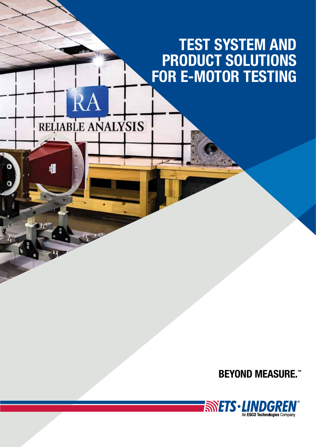# TEST SYSTEM AND PRODUCT SOLUTIONS FOR E-MOTOR TESTING

RELIABLE ANALYSIS

 $\Omega^A$ 

欄

## **BEYOND MEASURE.™**

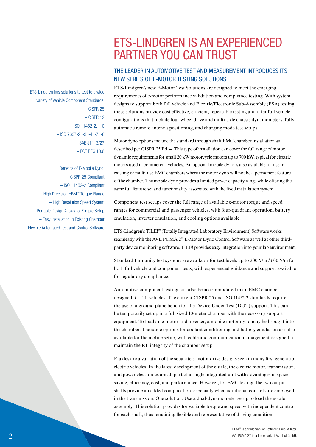## ETS-LINDGREN IS AN EXPERIENCED PARTNER YOU CAN TRUST

## THE LEADER IN AUTOMOTIVE TEST AND MEASUREMENT INTRODUCES ITS NEW SERIES OF E-MOTOR TESTING SOLUTIONS

ETS-Lindgren's new E-Motor Test Solutions are designed to meet the emerging requirements of e-motor performance validation and compliance testing. With system designs to support both full vehicle and Electric/Electronic Sub-Assembly (ESA) testing, these solutions provide cost effective, efficient, repeatable testing and offer full vehicle configurations that include four-wheel drive and multi-axle chassis dynamometers, fully automatic remote antenna positioning, and charging mode test setups.

Motor dyno options include the standard through shaft EMC chamber installation as described per CISPR 25 Ed. 4. This type of installation can cover the full range of motor dynamic requirements for small 20 kW motorcycle motors up to 700 kW, typical for electric motors used in commercial vehicles. An optional mobile dyno is also available for use in existing or multi-use EMC chambers where the motor dyno will not be a permanent feature of the chamber. The mobile dyno provides a limited power capacity range while offering the same full feature set and functionality associated with the fixed installation system.

Component test setups cover the full range of available e-motor torque and speed ranges for commercial and passenger vehicles, with four-quadrant operation, battery emulation, inverter emulation, and cooling options available.

ETS-Lindgren's TILE!™ (Totally Integrated Laboratory Environment) Software works seamlessly with the AVL PUMA 2™ E-Motor Dyno Control Software as well as other thirdparty device monitoring software. TILE! provides easy integration into your lab environment.

Standard Immunity test systems are available for test levels up to 200 V/m / 600 V/m for both full vehicle and component tests, with experienced guidance and support available for regulatory compliance.

Automotive component testing can also be accommodated in an EMC chamber designed for full vehicles. The current CISPR 25 and ISO 11452-2 standards require the use of a ground plane bench for the Device Under Test (DUT) support. This can be temporarily set up in a full sized 10-meter chamber with the necessary support equipment. To load an e-motor and inverter, a mobile motor dyno may be brought into the chamber. The same options for coolant conditioning and battery emulation are also available for the mobile setup, with cable and communication management designed to maintain the RF integrity of the chamber setup.

 $E$ -axles are a variation of the separate e-motor drive designs seen in many first generation electric vehicles. In the latest development of the e-axle, the electric motor, transmission, and power electronics are all part of a single integrated unit with advantages in space saying, efficiency, cost, and performance. However, for EMC testing, the two output shafts provide an added complication, especially when additional controls are employed in the transmission. One solution: Use a dual-dynamometer setup to load the e-axle assembly. This solution provides for variable torque and speed with independent control for each shaft, thus remaining flexible and representative of driving conditions.

ETS-Lindgren has solutions to test to a wide variety of Vehicle Component Standards: – CISPR 25 – CISPR 12 – ISO 11452-2, -10 – ISO 7637-2, -3, -4, -7, -8 – SAE J1113/27 – ECE REG 10.6

Benefits of E-Mobile Dyno: – CISPR 25 Compliant – ISO 11452-2 Compliant – High Precision HBM™ Torque Flange – High Resolution Speed System – Portable Design Allows for Simple Setup – Easy Installation in Existing Chamber – Flexible Automated Test and Control Software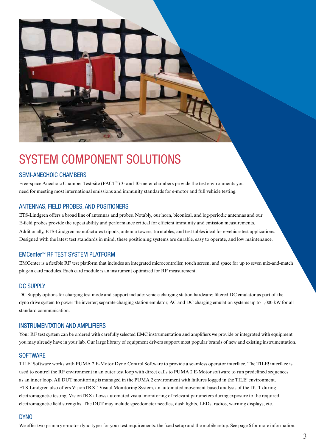

# SYSTEM COMPONENT SOLUTIONS

### SEMI-ANECHOIC CHAMBERS

Free-space Anechoic Chamber Test-site (FACT™) 3- and 10-meter chambers provide the test environments you need for meeting most international emissions and immunity standards for e-motor and full vehicle testing.

#### ANTENNAS, FIELD PROBES, AND POSITIONERS

ETS-Lindgren offers a broad line of antennas and probes. Notably, our horn, biconical, and log-periodic antennas and our E-field probes provide the repeatability and performance critical for efficient immunity and emission measurements. Additionally, ETS-Lindgren manufactures tripods, antenna towers, turntables, and test tables ideal for e-vehicle test applications. Designed with the latest test standards in mind, these positioning systems are durable, easy to operate, and low maintenance.

#### EMCenter™ RF TEST SYSTEM PLATFORM

EMCenter is a flexible RF test platform that includes an integrated microcontroller, touch screen, and space for up to seven mix-and-match plug-in card modules. Each card module is an instrument optimized for RF measurement.

#### DC SUPPLY

DC Supply options for charging test mode and support include: vehicle charging station hardware; filtered DC emulator as part of the dyno drive system to power the inverter; separate charging station emulator; AC and DC charging emulation systems up to 1,000 kW for all standard communication.

#### INSTRUMENTATION AND AMPLIFIERS

Your RF test system can be ordered with carefully selected EMC instrumentation and amplifiers we provide or integrated with equipment you may already have in your lab. Our large library of equipment drivers support most popular brands of new and existing instrumentation.

#### **SOFTWARE**

TILE! Software works with PUMA 2 E-Motor Dyno Control Software to provide a seamless operator interface. The TILE! interface is used to control the RF environment in an outer test loop with direct calls to PUMA 2 E-Motor software to run predefined sequences as an inner loop. All DUT monitoring is managed in the PUMA 2 environment with failures logged in the TILE! environment. ETS-Lindgren also offers VisionTRX™ Visual Monitoring System, an automated movement-based analysis of the DUT during electromagnetic testing. VisionTRX allows automated visual monitoring of relevant parameters during exposure to the required electromagnetic field strengths. The DUT may include speedometer needles, dash lights, LEDs, radios, warning displays, etc.

#### DYNO

We offer two primary e-motor dyno types for your test requirements: the fixed setup and the mobile setup. See page 6 for more information.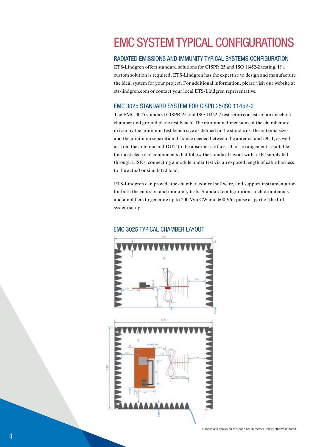## EMC SYSTEM TYPICAL CONFIGURATIONS

### RADIATED EMISSIONS AND IMMUNITY TYPICAL SYSTEMS CONFIGURATION

ETS-Lindgren offers standard solutions for CISPR 25 and ISO 11452-2 testing. If a custom solution is required, ETS-Lindgren has the expertise to design and manufacture the ideal system for your project. For additional information, please visit our website at ets-lindgren.com or contact your local ETS-Lindgren representative.

### EMC 3025 STANDARD SYSTEM FOR CISPR 25/ISO 11452-2

The EMC 3025 standard CISPR 25 and ISO 11452-2 test setup consists of an anechoic chamber and ground plane test bench. The minimum dimensions of the chamber are driven by the minimum test bench size as defined in the standards; the antenna sizes; and the minimum separation distance needed between the antenna and DUT, as well as from the antenna and DUT to the absorber surfaces. This arrangement is suitable for most electrical components that follow the standard layout with a DC supply fed through LISNs, connecting a module under test via an exposed length of cable harness to the actual or simulated load.

ETS-Lindgren can provide the chamber, control software, and support instrumentation for both the emission and immunity tests. Standard configurations include antennas and amplifiers to generate up to 200 V/m CW and 600 V/m pulse as part of the full system setup.



#### EMC 3025 TYPICAL CHAMBER LAYOUT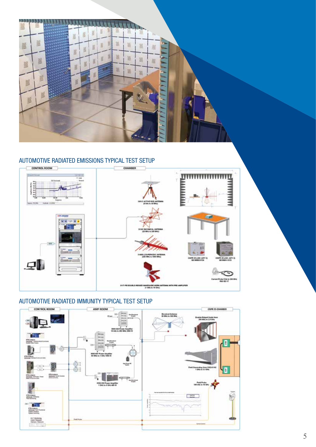

## AUTOMOTIVE RADIATED EMISSIONS TYPICAL TEST SETUP



## AUTOMOTIVE RADIATED IMMUNITY TYPICAL TEST SETUP

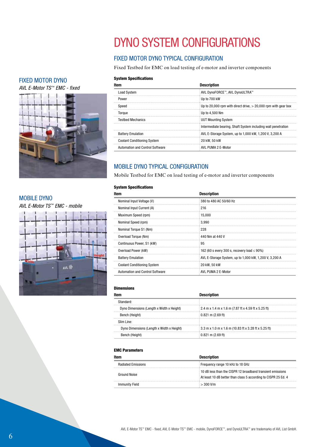## FIXED MOTOR DYNO

*AVL E-Motor TS™ EMC - fixed*



#### MOBILE DYNO

*AVL E-Motor TS™ EMC - mobile*



## DYNO SYSTEM CONFIGURATIONS

## FIXED MOTOR DYNO TYPICAL CONFIGURATION

Fixed Testbed for EMC on load testing of e-motor and inverter components

#### **System Specifications**

| Item                                   | <b>Description</b>                                               |
|----------------------------------------|------------------------------------------------------------------|
| <b>Load System</b>                     | AVL DynoFORCE™, AVL DynoULTRA™                                   |
| Power                                  | : Up to 700 kW                                                   |
| Speed                                  | Up to 20,000 rpm with direct drive, $>$ 20,000 rpm with gear box |
| Toraue                                 | Up to 4.500 Nm                                                   |
| <b>Testbed Mechanics</b>               | UUT Mounting System                                              |
|                                        | Intermediate bearing, Shaft System including wall penetration    |
| <b>Battery Emulation</b>               | AVL E-Storage System, up to 1,000 kW, 1,200 V, 3,200 A           |
| <b>Coolant Conditioning System</b>     | 20 kW. 50 kW                                                     |
| <b>Automation and Control Software</b> | AVL PUMA 2 E-Motor                                               |

## MOBILE DYNO TYPICAL CONFIGURATION

Mobile Testbed for EMC on load testing of e-motor and inverter components

#### **System Specifications**

| ltem                                   | <b>Description</b>                                     |
|----------------------------------------|--------------------------------------------------------|
| Nominal Input Voltage (V)              | 380 to 480 AC 50/60 Hz                                 |
| Nominal Input Current (A)              | 216                                                    |
| Maximum Speed (rpm)                    | 15.000                                                 |
| Nominal Speed (rpm)                    | 3.990                                                  |
| Nominal Torque S1 (Nm)                 | 228                                                    |
| Overload Torque (Nm)                   | 440 Nm at 440 V                                        |
| Continuous Power, S1 (kW)              | 95                                                     |
| Overload Power (kW)                    | 162 (60 s every 300 s, recovery load $\leq$ 90%)       |
| <b>Battery Emulation</b>               | AVL E-Storage System, up to 1,000 kW, 1,200 V, 3,200 A |
| <b>Coolant Conditioning System</b>     | 20 kW. 50 kW                                           |
| <b>Automation and Control Software</b> | AVL PUMA 2 E-Motor                                     |

#### Dimensions

| Item                                      | <b>Description</b>                                                 |
|-------------------------------------------|--------------------------------------------------------------------|
| Standard <sup>.</sup>                     |                                                                    |
| Dyno Dimensions (Length x Width x Height) | $\frac{1}{2}$ 2.4 m x 1.4 m x 1.6 m (7.87 ft x 4.59 ft x 5.25 ft)  |
| Bench (Height)                            | $0.821$ m (2.69 ft)                                                |
| Slim Line:                                |                                                                    |
| Dyno Dimensions (Length x Width x Height) | $\frac{1}{2}$ 3.3 m x 1.0 m x 1.6 m (10.83 ft x 3.28 ft x 5.25 ft) |
| Bench (Height)                            | $0.821$ m (2.69 ft)                                                |

#### EMC Parameters

| Item                      | <b>Description</b>                                                                                                           |
|---------------------------|------------------------------------------------------------------------------------------------------------------------------|
| <b>Radiated Emissions</b> | Frequency range 10 kHz to 18 GHz                                                                                             |
| Ground Noise              | 10 dB less than the CISPR 12 broadband transient emissions<br>At least 10 dB better than class 5 according to CISPR 25 Ed. 4 |
| <b>Immunity Field</b>     | $\approx$ 300 V/m                                                                                                            |

## 6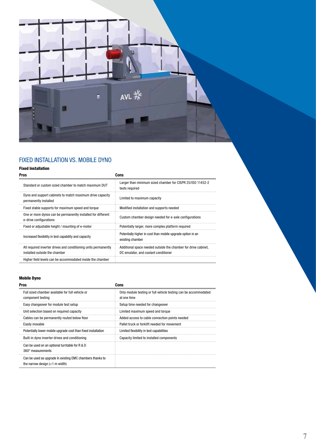

## FIXED INSTALLATION VS. MOBILE DYNO

### Fixed Installation

| Pros                                                                                             | Cons                                                                                                   |
|--------------------------------------------------------------------------------------------------|--------------------------------------------------------------------------------------------------------|
| Standard or custom sized chamber to match maximum DUT                                            | Larger than minimum sized chamber for CISPR 25/ISO 11452-2<br>tests required                           |
| Dyno and support cabinets to match maximum drive capacity<br>permanently installed               | Limited to maximum capacity                                                                            |
| Fixed stable supports for maximum speed and torque                                               | Modified installation and supports needed                                                              |
| One or more dynos can be permanently installed for different<br>e-drive configurations           | Custom chamber design needed for e-axle configurations                                                 |
| Fixed or adjustable height / mounting of e-motor                                                 | Potentially larger, more complex platform required                                                     |
| Increased flexibility in test capability and capacity                                            | Potentially higher in cost than mobile upgrade option in an<br>existing chamber                        |
| All required inverter drives and conditioning units permanently<br>installed outside the chamber | Additional space needed outside the chamber for drive cabinet,<br>DC emulator, and coolant conditioner |
| Higher field levels can be accommodated inside the chamber                                       |                                                                                                        |

### Mobile Dyno

| Pros                                                                                          | Cons                                                                           |
|-----------------------------------------------------------------------------------------------|--------------------------------------------------------------------------------|
| Full sized chamber available for full vehicle or<br>component testing                         | Only module testing or full vehicle testing can be accommodated<br>at one time |
| Easy changeover for module test setup                                                         | Setup time needed for changeover                                               |
| Unit selection based on required capacity                                                     | Limited maximum speed and torque                                               |
| Cables can be permanently routed below floor                                                  | Added access to cable connection points needed                                 |
| Easily movable                                                                                | Pallet truck or forklift needed for movement                                   |
| Potentially lower mobile upgrade cost than fixed installation                                 | Limited flexibility in test capabilities                                       |
| Built-in dyno inverter drives and conditioning                                                | Capacity limited to installed components                                       |
| Can be used on an optional turntable for R & D<br>360° measurements                           |                                                                                |
| Can be used as upgrade in existing EMC chambers thanks to<br>the narrow design $(<1$ m width) |                                                                                |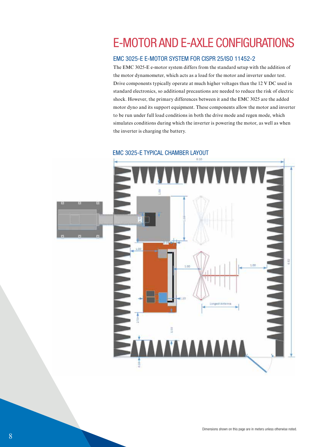## E-MOTOR AND E-AXLE CONFIGURATIONS

## EMC 3025-E E-MOTOR SYSTEM FOR CISPR 25/ISO 11452-2

The EMC 3025-E e-motor system differs from the standard setup with the addition of the motor dynamometer, which acts as a load for the motor and inverter under test. Drive components typically operate at much higher voltages than the 12 V DC used in standard electronics, so additional precautions are needed to reduce the risk of electric shock. However, the primary differences between it and the EMC 3025 are the added motor dyno and its support equipment. These components allow the motor and inverter to be run under full load conditions in both the drive mode and regen mode, which simulates conditions during which the inverter is powering the motor, as well as when the inverter is charging the battery.



EMC 3025-E TYPICAL CHAMBER LAYOUT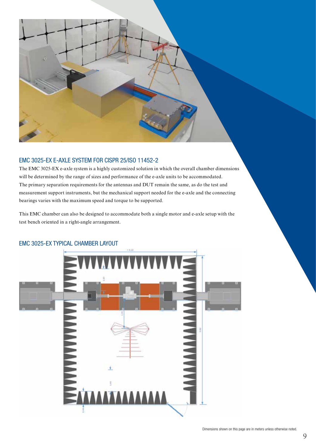

### EMC 3025-EX E-AXLE SYSTEM FOR CISPR 25/ISO 11452-2

The EMC 3025-EX e-axle system is a highly customized solution in which the overall chamber dimensions will be determined by the range of sizes and performance of the e-axle units to be accommodated. The primary separation requirements for the antennas and DUT remain the same, as do the test and measurement support instruments, but the mechanical support needed for the e-axle and the connecting bearings varies with the maximum speed and torque to be supported.

This EMC chamber can also be designed to accommodate both a single motor and e-axle setup with the test bench oriented in a right-angle arrangement.



## EMC 3025-EX TYPICAL CHAMBER LAYOUT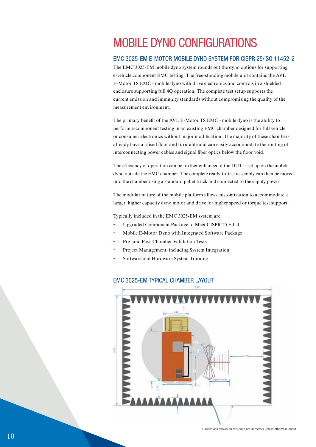## MOBILE DYNO CONFIGURATIONS

### EMC 3025-EM E-MOTOR MOBILE DYNO SYSTEM FOR CISPR 25/ISO 11452-2

The EMC 3025-EM mobile dyno system rounds out the dyno options for supporting e-vehicle component EMC testing. The free-standing mobile unit contains the AVL E-Motor TS EMC - mobile dyno with drive electronics and controls in a shielded enclosure supporting full 4Q operation. The complete test setup supports the current emission and immunity standards without compromising the quality of the measurement environment.

The primary benefit of the AVL E-Motor TS EMC - mobile dyno is the ability to perform e-component testing in an existing EMC chamber designed for full vehicle or consumer electronics without major modification. The majority of these chambers already have a raised floor and turntable and can easily accommodate the routing of interconnecting power cables and signal fiber optics below the floor void.

The efficiency of operation can be further enhanced if the DUT is set up on the mobile dyno outside the EMC chamber. The complete ready-to-test assembly can then be moved into the chamber using a standard pallet truck and connected to the supply power.

The modular nature of the mobile platform allows customization to accommodate a larger, higher capacity dyno motor and drive for higher speed or torque test support.

Typically included in the EMC 3025-EM system are:

- Upgraded Component Package to Meet CISPR 25 Ed. 4
- Mobile E-Motor Dyno with Integrated Software Package
- Pre- and Post-Chamber Validation Tests
- Project Management, including System Integration
- Software and Hardware System Training

#### EMC 3025-EM TYPICAL CHAMBER LAYOUT

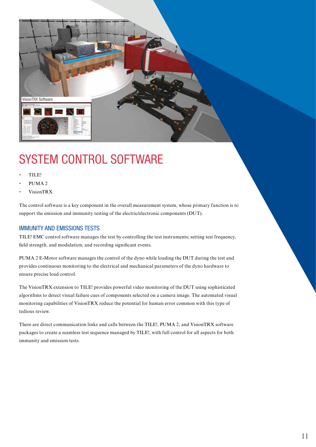

# SYSTEM CONTROL SOFTWARE

- TILE!
- PUMA<sub>2</sub>
- VisionTRX

The control software is a key component in the overall measurement system, whose primary function is to support the emission and immunity testing of the electric/electronic components (DUT).

#### IMMUNITY AND EMISSIONS TESTS

TILE! EMC control software manages the test by controlling the test instruments; setting test frequency, field strength, and modulation; and recording significant events.

PUMA 2 E-Motor software manages the control of the dyno while loading the DUT during the test and provides continuous monitoring to the electrical and mechanical parameters of the dyno hardware to ensure precise load control.

The VisionTRX extension to TILE! provides powerful video monitoring of the DUT using sophisticated algorithms to detect visual failure cues of components selected on a camera image. The automated visual monitoring capabilities of VisionTRX reduce the potential for human error common with this type of tedious review.

There are direct communication links and calls between the TILE!, PUMA 2, and VisionTRX software packages to create a seamless test sequence managed by TILE!, with full control for all aspects for both immunity and emission tests.